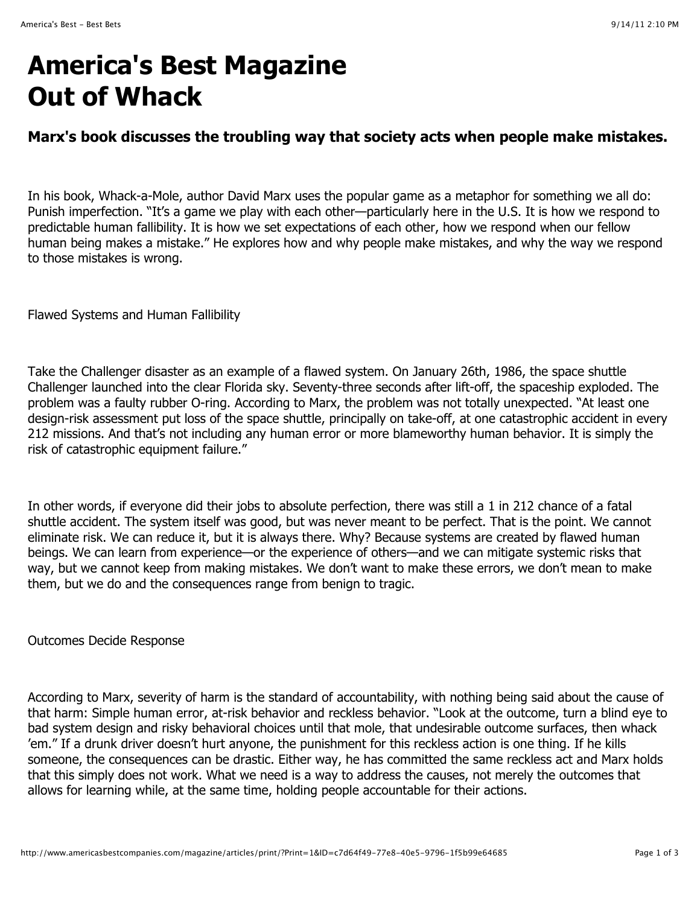## **America's Best Magazine Out of Whack**

## **Marx's book discusses the troubling way that society acts when people make mistakes.**

In his book, Whack-a-Mole, author David Marx uses the popular game as a metaphor for something we all do: Punish imperfection. "It's a game we play with each other—particularly here in the U.S. It is how we respond to predictable human fallibility. It is how we set expectations of each other, how we respond when our fellow human being makes a mistake." He explores how and why people make mistakes, and why the way we respond to those mistakes is wrong.

Flawed Systems and Human Fallibility

Take the Challenger disaster as an example of a flawed system. On January 26th, 1986, the space shuttle Challenger launched into the clear Florida sky. Seventy-three seconds after lift-off, the spaceship exploded. The problem was a faulty rubber O-ring. According to Marx, the problem was not totally unexpected. "At least one design-risk assessment put loss of the space shuttle, principally on take-off, at one catastrophic accident in every 212 missions. And that's not including any human error or more blameworthy human behavior. It is simply the risk of catastrophic equipment failure."

In other words, if everyone did their jobs to absolute perfection, there was still a 1 in 212 chance of a fatal shuttle accident. The system itself was good, but was never meant to be perfect. That is the point. We cannot eliminate risk. We can reduce it, but it is always there. Why? Because systems are created by flawed human beings. We can learn from experience—or the experience of others—and we can mitigate systemic risks that way, but we cannot keep from making mistakes. We don't want to make these errors, we don't mean to make them, but we do and the consequences range from benign to tragic.

Outcomes Decide Response

According to Marx, severity of harm is the standard of accountability, with nothing being said about the cause of that harm: Simple human error, at-risk behavior and reckless behavior. "Look at the outcome, turn a blind eye to bad system design and risky behavioral choices until that mole, that undesirable outcome surfaces, then whack 'em." If a drunk driver doesn't hurt anyone, the punishment for this reckless action is one thing. If he kills someone, the consequences can be drastic. Either way, he has committed the same reckless act and Marx holds that this simply does not work. What we need is a way to address the causes, not merely the outcomes that allows for learning while, at the same time, holding people accountable for their actions.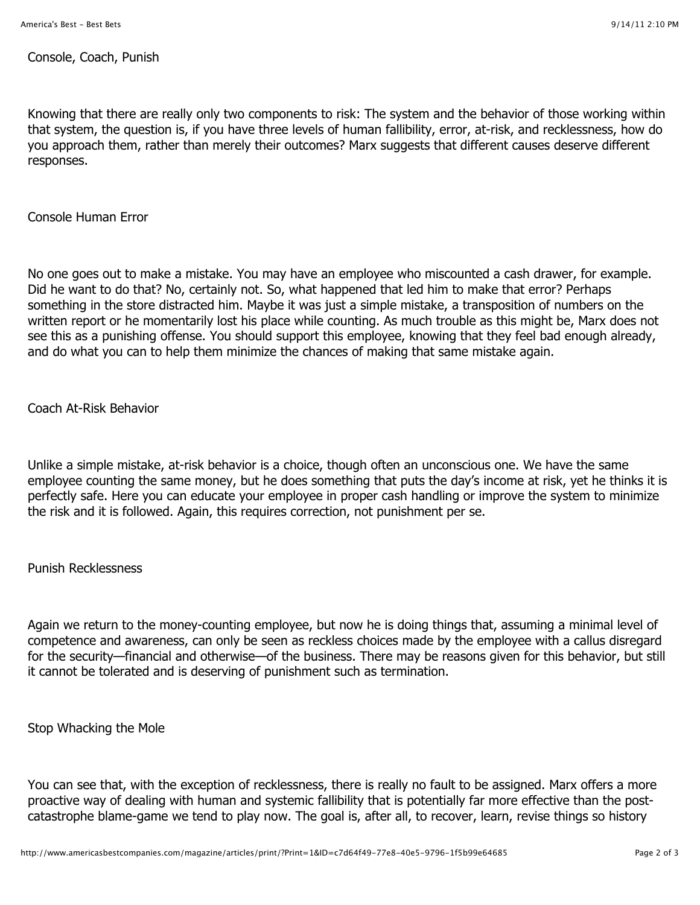Console, Coach, Punish

Knowing that there are really only two components to risk: The system and the behavior of those working within that system, the question is, if you have three levels of human fallibility, error, at-risk, and recklessness, how do you approach them, rather than merely their outcomes? Marx suggests that different causes deserve different responses.

Console Human Error

No one goes out to make a mistake. You may have an employee who miscounted a cash drawer, for example. Did he want to do that? No, certainly not. So, what happened that led him to make that error? Perhaps something in the store distracted him. Maybe it was just a simple mistake, a transposition of numbers on the written report or he momentarily lost his place while counting. As much trouble as this might be, Marx does not see this as a punishing offense. You should support this employee, knowing that they feel bad enough already, and do what you can to help them minimize the chances of making that same mistake again.

Coach At-Risk Behavior

Unlike a simple mistake, at-risk behavior is a choice, though often an unconscious one. We have the same employee counting the same money, but he does something that puts the day's income at risk, yet he thinks it is perfectly safe. Here you can educate your employee in proper cash handling or improve the system to minimize the risk and it is followed. Again, this requires correction, not punishment per se.

Punish Recklessness

Again we return to the money-counting employee, but now he is doing things that, assuming a minimal level of competence and awareness, can only be seen as reckless choices made by the employee with a callus disregard for the security—financial and otherwise—of the business. There may be reasons given for this behavior, but still it cannot be tolerated and is deserving of punishment such as termination.

Stop Whacking the Mole

You can see that, with the exception of recklessness, there is really no fault to be assigned. Marx offers a more proactive way of dealing with human and systemic fallibility that is potentially far more effective than the postcatastrophe blame-game we tend to play now. The goal is, after all, to recover, learn, revise things so history